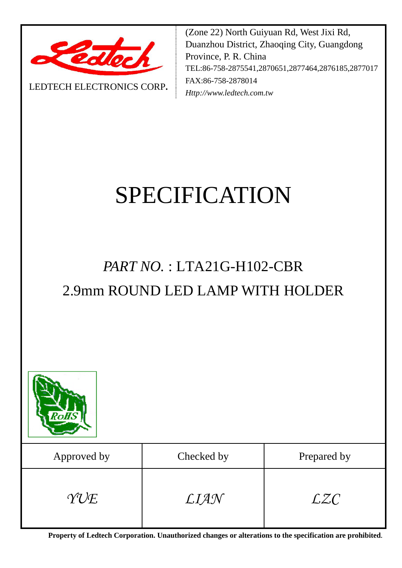

LEDTECH ELECTRONICS CORP**.**

(Zone 22) North Guiyuan Rd, West Jixi Rd, Duanzhou District, Zhaoqing City, Guangdong Province, P. R. China TEL:86-758-2875541,2870651,2877464,2876185,2877017 FAX:86-758-2878014 *Http://www.ledtech.com.tw*

# SPECIFICATION

## *PART NO.* : LTA21G-H102-CBR 2.9mm ROUND LED LAMP WITH HOLDER



**Property of Ledtech Corporation. Unauthorized changes or alterations to the specification are prohibited***.*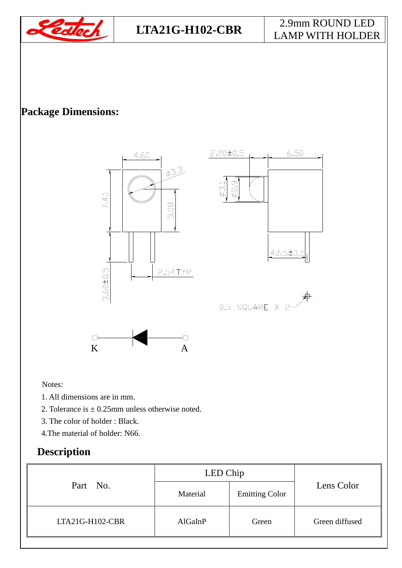

#### **LTA21G-H102-CBR** 2.9mm ROUND LED LAMP WITH HOLDER

#### **Package Dimensions:**



Notes:

- 1. All dimensions are in mm.
- 2. Tolerance is  $\pm$  0.25mm unless otherwise noted.
- 3. The color of holder : Black.
- 4.The material of holder: N66.

#### **Description**

| Part No.          | LED Chip |                       |                |
|-------------------|----------|-----------------------|----------------|
|                   | Material | <b>Emitting Color</b> | Lens Color     |
| $LTA21G-H102-CBR$ | AlGaInP  | Green                 | Green diffused |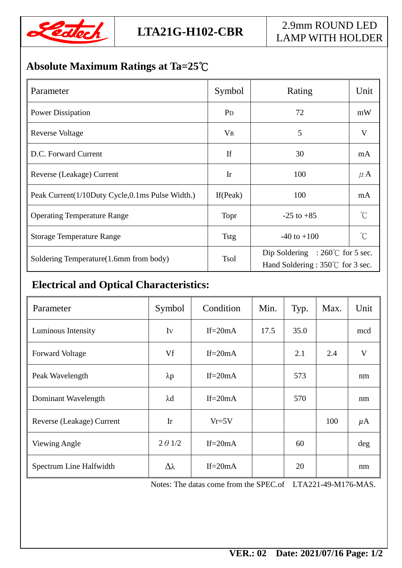

### **Absolute Maximum Ratings at Ta=25**℃

| Parameter                                       | Symbol         | Rating                                                                                | Unit            |
|-------------------------------------------------|----------------|---------------------------------------------------------------------------------------|-----------------|
| <b>Power Dissipation</b>                        | P <sub>D</sub> | 72                                                                                    | mW              |
| <b>Reverse Voltage</b>                          | <b>VR</b>      | 5                                                                                     | V               |
| D.C. Forward Current                            | If             | 30                                                                                    | mA              |
| Reverse (Leakage) Current                       | Ir             | 100                                                                                   | $\mu$ A         |
| Peak Current(1/10Duty Cycle,0.1ms Pulse Width.) | If $(Peak)$    | 100                                                                                   | mA              |
| <b>Operating Temperature Range</b>              | Topr           | $-25$ to $+85$                                                                        | $\int_0^\infty$ |
| <b>Storage Temperature Range</b>                | <b>Tstg</b>    | $-40$ to $+100$                                                                       | $^{\circ}$ C    |
| Soldering Temperature(1.6mm from body)          | <b>Tsol</b>    | Dip Soldering : $260^{\circ}$ for 5 sec.<br>Hand Soldering : $350^{\circ}$ for 3 sec. |                 |

#### **Electrical and Optical Characteristics:**

| Parameter                 | Symbol          | Condition   | Min. | Typ. | Max. | Unit         |
|---------------------------|-----------------|-------------|------|------|------|--------------|
| Luminous Intensity        | Iv              | If= $20mA$  | 17.5 | 35.0 |      | mcd          |
| <b>Forward Voltage</b>    | Vf              | $If = 20mA$ |      | 2.1  | 2.4  | $\mathbf{V}$ |
| Peak Wavelength           | $\lambda p$     | $If = 20mA$ |      | 573  |      | nm           |
| Dominant Wavelength       | $\lambda$ d     | If= $20mA$  |      | 570  |      | nm           |
| Reverse (Leakage) Current | Ir              | $Vr = 5V$   |      |      | 100  | $\mu$ A      |
| Viewing Angle             | $2 \theta$ 1/2  | $If = 20mA$ |      | 60   |      | deg          |
| Spectrum Line Halfwidth   | $\Delta\lambda$ | $If = 20mA$ |      | 20   |      | nm           |

Notes: The datas come from the SPEC.of LTA221-49-M176-MAS.